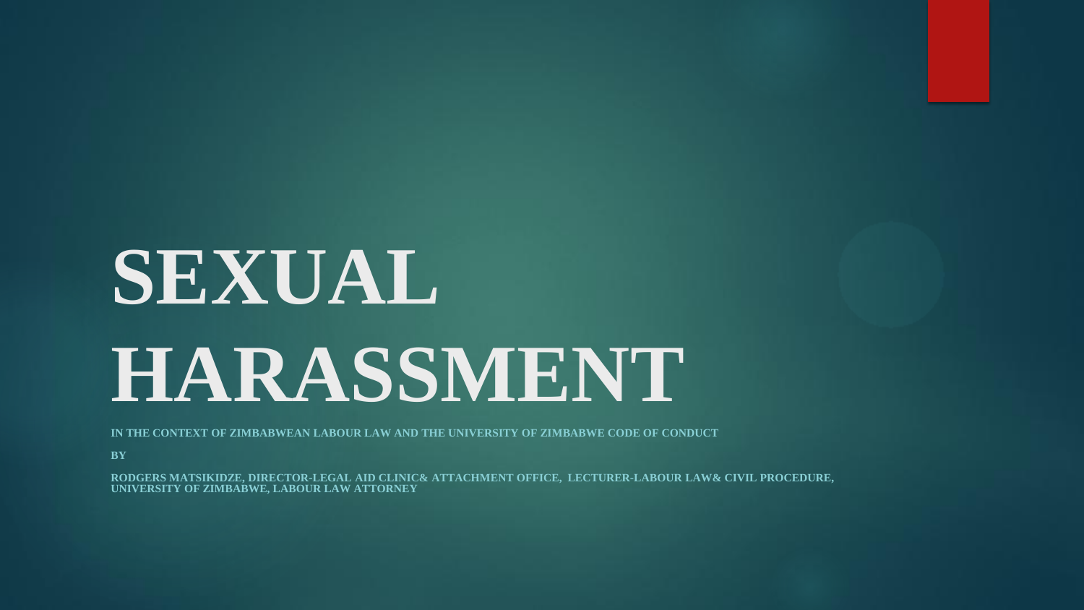# **SEXUAL HARASSMENT**

**IN THE CONTEXT OF ZIMBABWEAN LABOUR LAW AND THE UNIVERSITY OF ZIMBABWE CODE OF CONDUCT**

**BY**

**RODGERS MATSIKIDZE, DIRECTOR-LEGAL AID CLINIC& ATTACHMENT OFFICE, LECTURER-LABOUR LAW& CIVIL PROCEDURE, UNIVERSITY OF ZIMBABWE, LABOUR LAW ATTORNEY**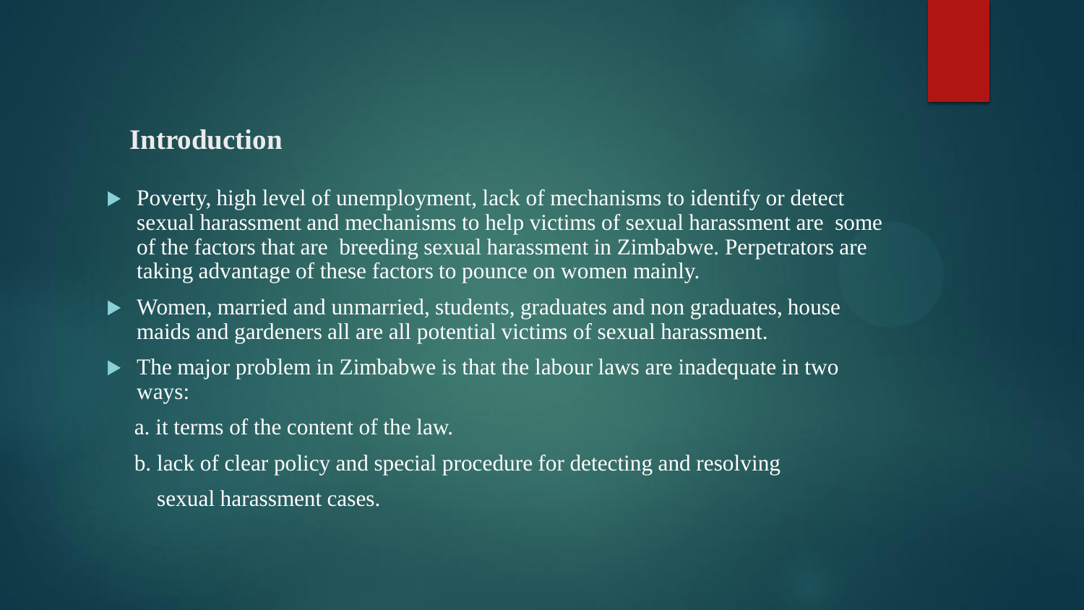#### **Introduction**

- Poverty, high level of unemployment, lack of mechanisms to identify or detect sexual harassment and mechanisms to help victims of sexual harassment are some of the factors that are breeding sexual harassment in Zimbabwe. Perpetrators are taking advantage of these factors to pounce on women mainly.
- Women, married and unmarried, students, graduates and non graduates, house maids and gardeners all are all potential victims of sexual harassment.
- The major problem in Zimbabwe is that the labour laws are inadequate in two ways:
	- a. it terms of the content of the law.
	- b. lack of clear policy and special procedure for detecting and resolving sexual harassment cases.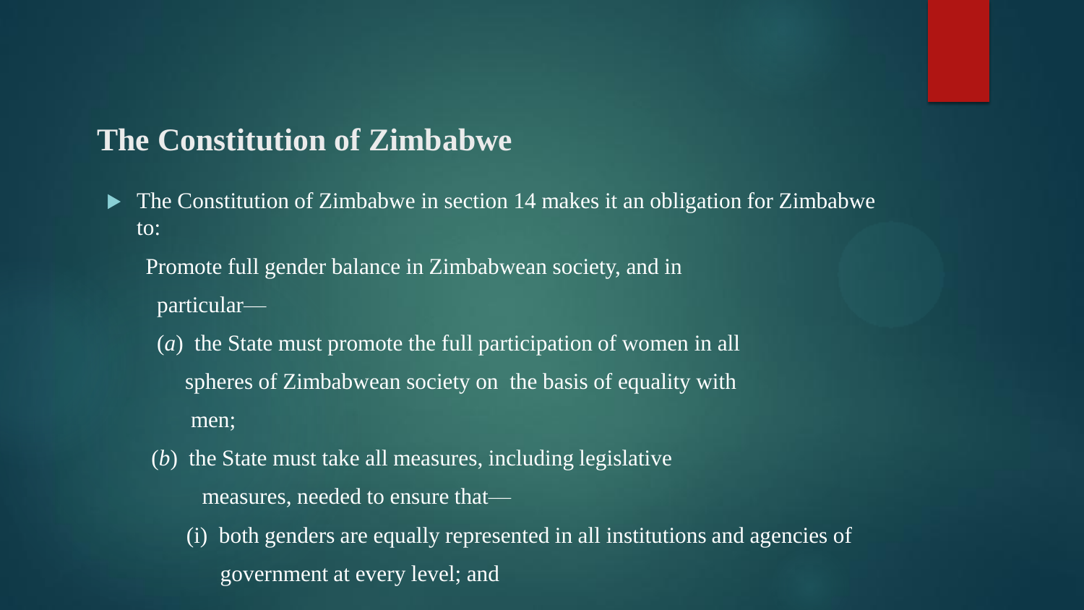## **The Constitution of Zimbabwe**

• The Constitution of Zimbabwe in section 14 makes it an obligation for Zimbabwe to:

Promote full gender balance in Zimbabwean society, and in particular—

- (*a*) the State must promote the full participation of women in all spheres of Zimbabwean society on the basis of equality with men;
- (*b*) the State must take all measures, including legislative measures, needed to ensure that—
	- (i) both genders are equally represented in all institutions and agencies of government at every level; and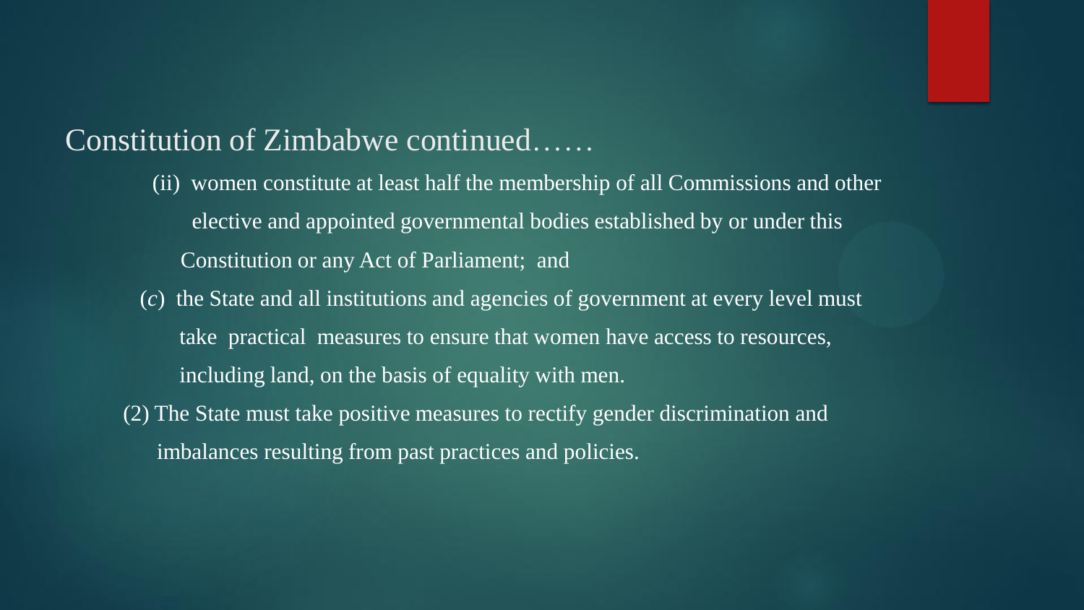## Constitution of Zimbabwe continued……

- (ii) women constitute at least half the membership of all Commissions and other elective and appointed governmental bodies established by or under this Constitution or any Act of Parliament; and
- (*c*) the State and all institutions and agencies of government at every level must take practical measures to ensure that women have access to resources, including land, on the basis of equality with men.
- (2) The State must take positive measures to rectify gender discrimination and imbalances resulting from past practices and policies.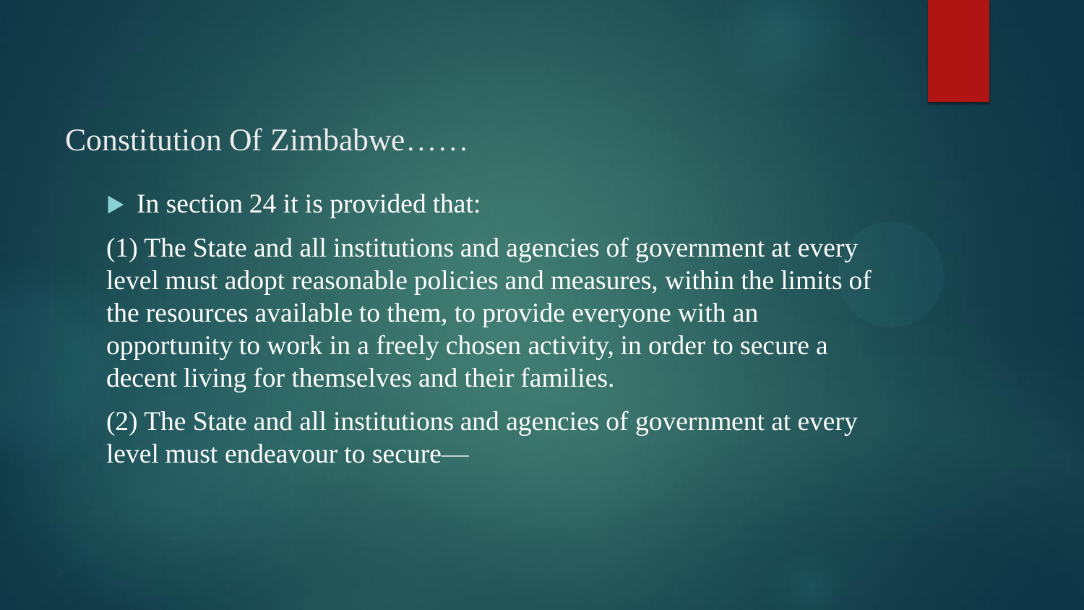## Constitution Of Zimbabwe……

 $\blacktriangleright$  In section 24 it is provided that:

(1) The State and all institutions and agencies of government at every level must adopt reasonable policies and measures, within the limits of the resources available to them, to provide everyone with an opportunity to work in a freely chosen activity, in order to secure a decent living for themselves and their families.

(2) The State and all institutions and agencies of government at every level must endeavour to secure—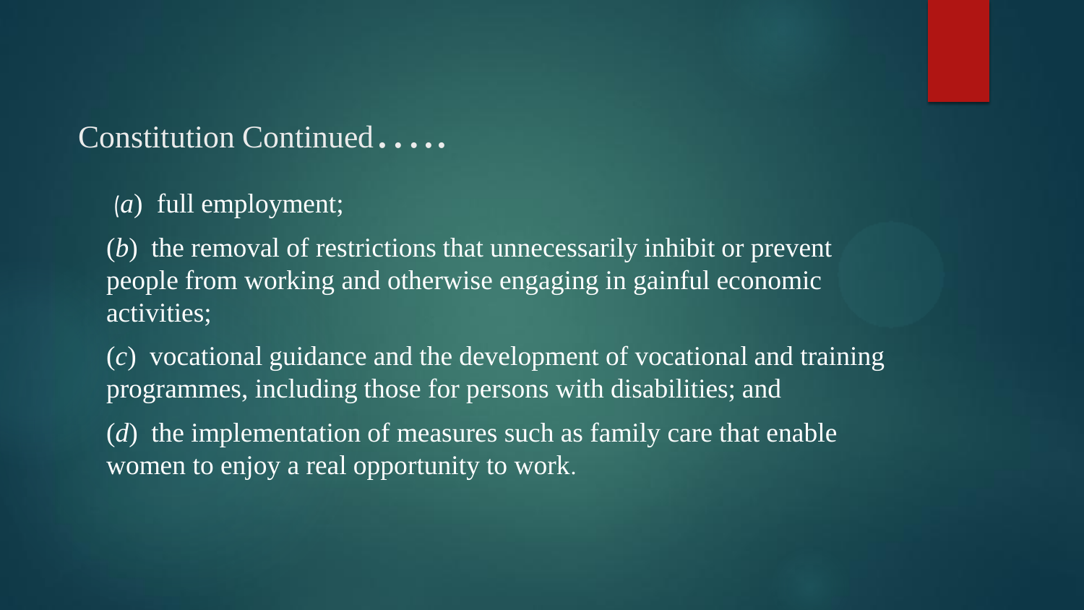## Constitution Continued.....

(*a*) full employment;

(*b*) the removal of restrictions that unnecessarily inhibit or prevent people from working and otherwise engaging in gainful economic activities;

(*c*) vocational guidance and the development of vocational and training programmes, including those for persons with disabilities; and

(*d*) the implementation of measures such as family care that enable women to enjoy a real opportunity to work.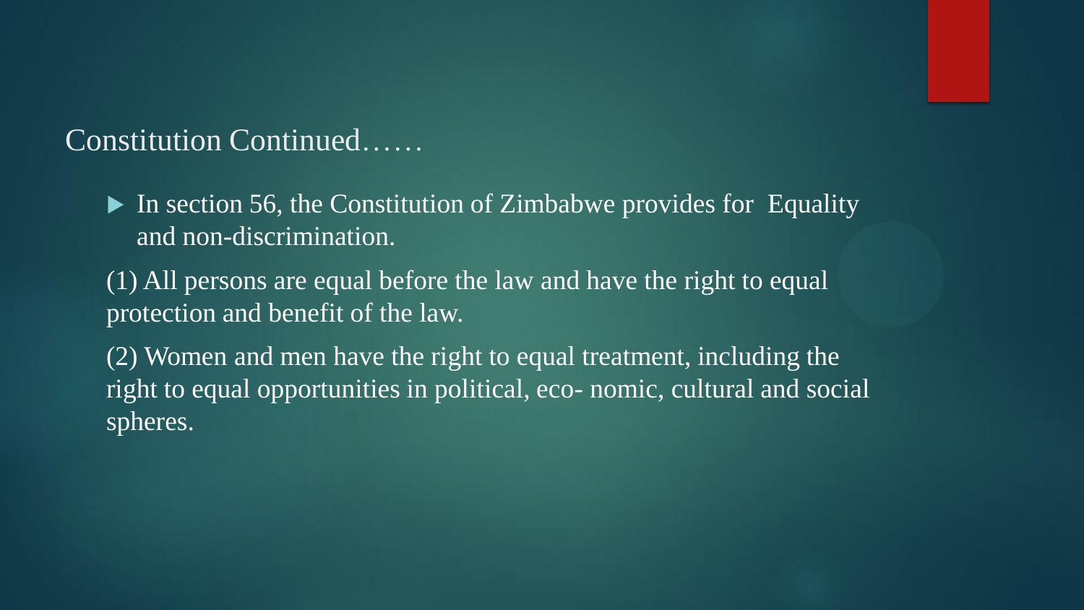Constitution Continued……

- In section 56, the Constitution of Zimbabwe provides for Equality and non-discrimination.
- (1) All persons are equal before the law and have the right to equal protection and benefit of the law.
- (2) Women and men have the right to equal treatment, including the right to equal opportunities in political, eco- nomic, cultural and social spheres.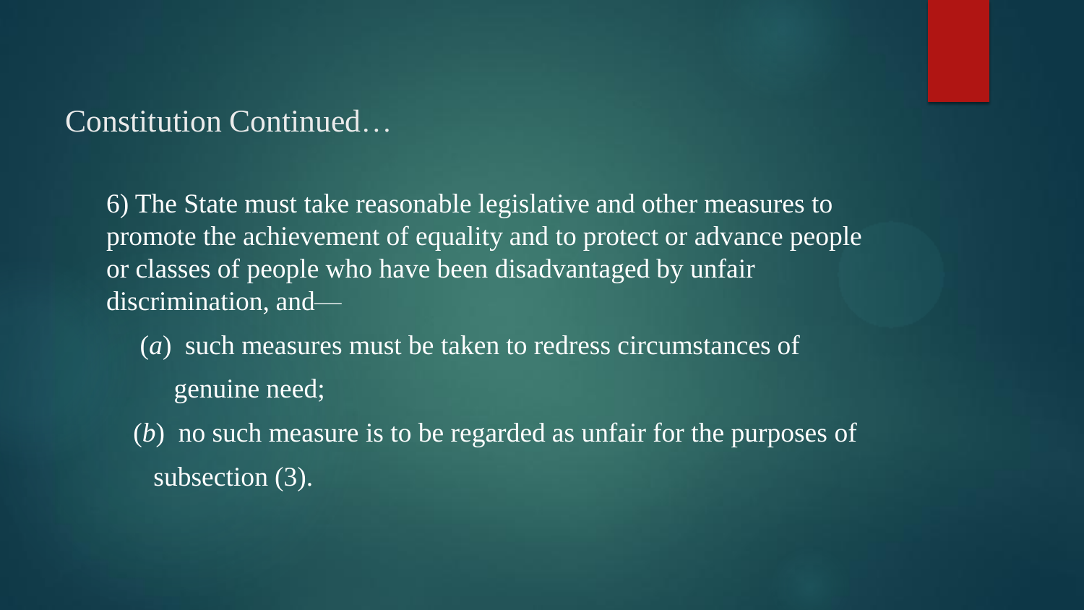## Constitution Continued…

6) The State must take reasonable legislative and other measures to promote the achievement of equality and to protect or advance people or classes of people who have been disadvantaged by unfair discrimination, and—

(*a*) such measures must be taken to redress circumstances of genuine need;

(*b*) no such measure is to be regarded as unfair for the purposes of subsection (3).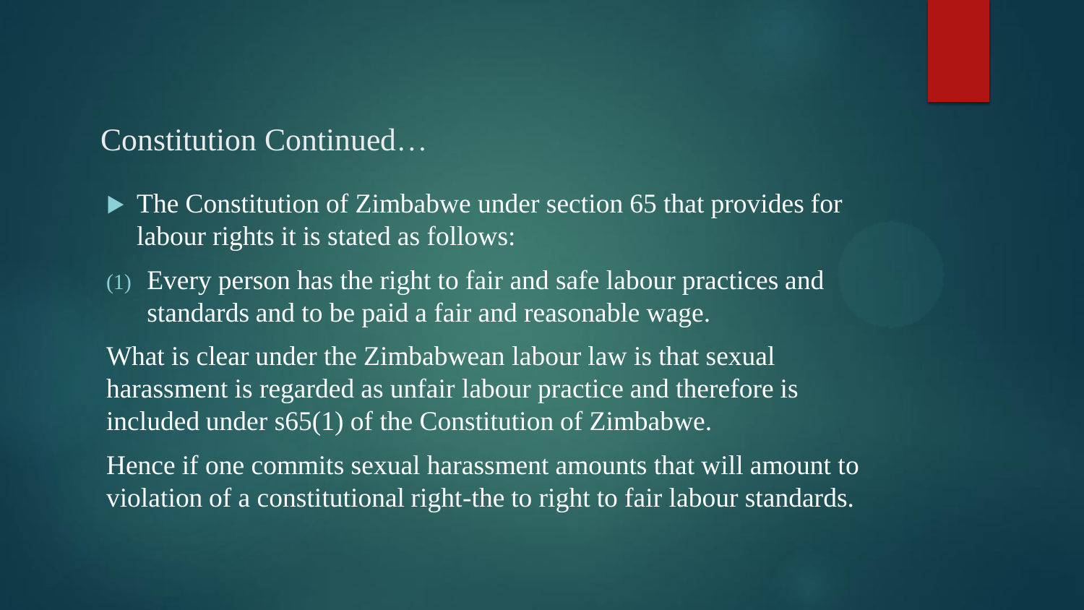## Constitution Continued…

- The Constitution of Zimbabwe under section 65 that provides for labour rights it is stated as follows:
- (1) Every person has the right to fair and safe labour practices and standards and to be paid a fair and reasonable wage.

What is clear under the Zimbabwean labour law is that sexual harassment is regarded as unfair labour practice and therefore is included under s65(1) of the Constitution of Zimbabwe.

Hence if one commits sexual harassment amounts that will amount to violation of a constitutional right-the to right to fair labour standards.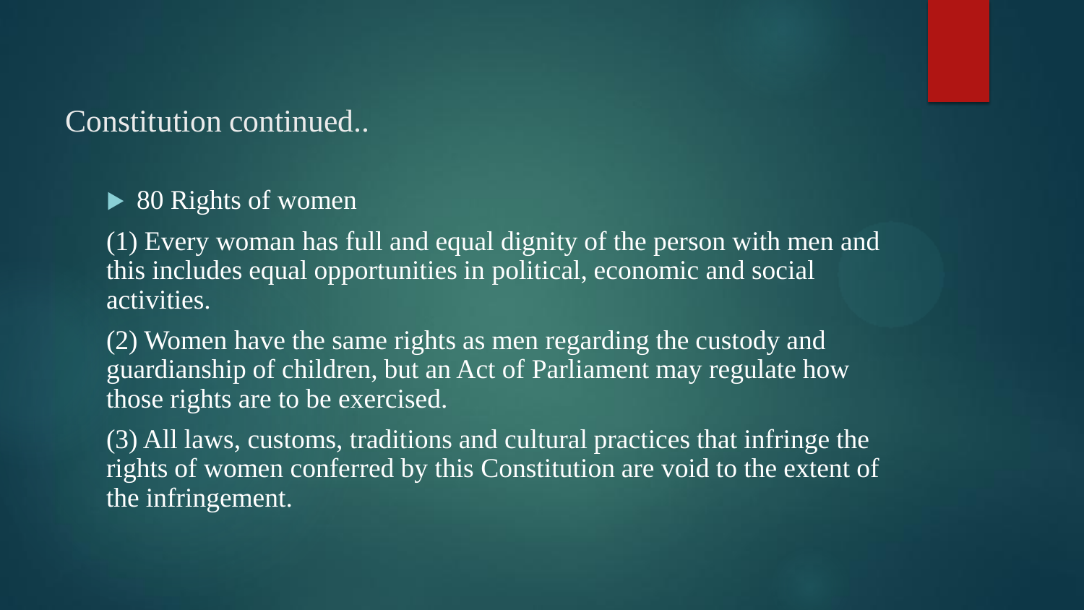### Constitution continued..

 $\overline{\triangleright}$  80 Rights of women

(1) Every woman has full and equal dignity of the person with men and this includes equal opportunities in political, economic and social activities.

(2) Women have the same rights as men regarding the custody and guardianship of children, but an Act of Parliament may regulate how those rights are to be exercised.

(3) All laws, customs, traditions and cultural practices that infringe the rights of women conferred by this Constitution are void to the extent of the infringement.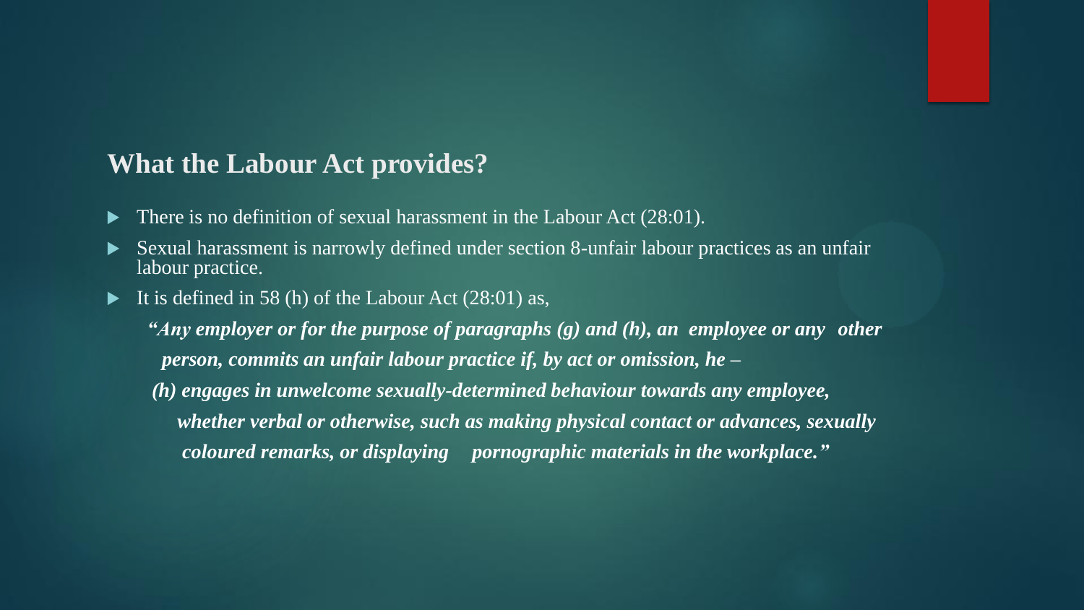#### **What the Labour Act provides?**

- There is no definition of sexual harassment in the Labour Act (28:01).
- Sexual harassment is narrowly defined under section 8-unfair labour practices as an unfair labour practice.
- It is defined in 58 (h) of the Labour Act  $(28:01)$  as,

*"Any employer or for the purpose of paragraphs (g) and (h), an employee or any other person, commits an unfair labour practice if, by act or omission, he –*

*(h) engages in unwelcome sexually-determined behaviour towards any employee, whether verbal or otherwise, such as making physical contact or advances, sexually coloured remarks, or displaying pornographic materials in the workplace."*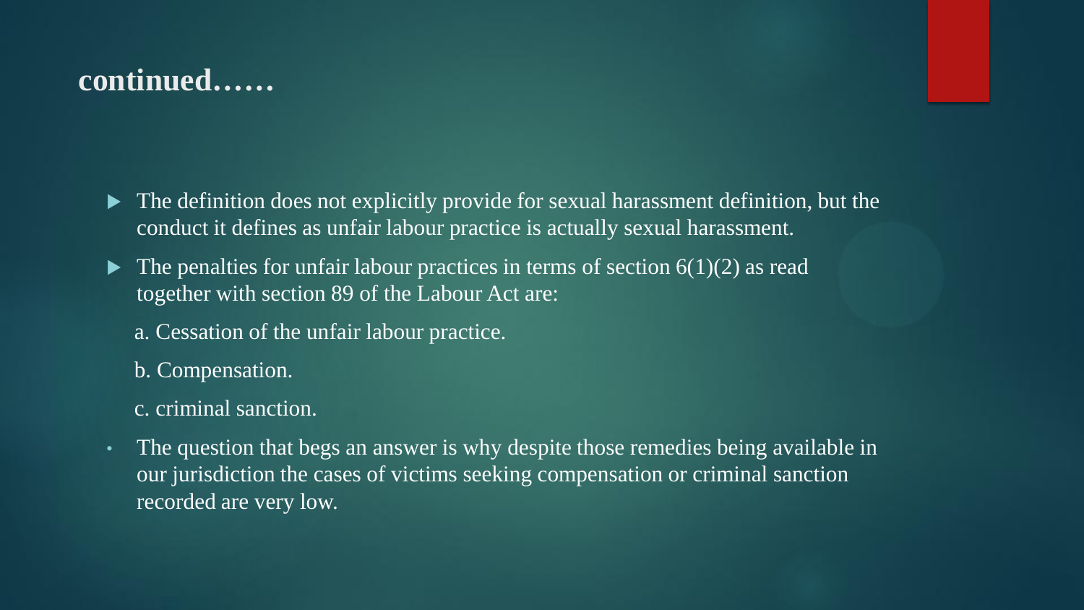## **continued……**

- The definition does not explicitly provide for sexual harassment definition, but the conduct it defines as unfair labour practice is actually sexual harassment.
- $\blacktriangleright$  The penalties for unfair labour practices in terms of section 6(1)(2) as read together with section 89 of the Labour Act are:
	- a. Cessation of the unfair labour practice.
	- b. Compensation.
	- c. criminal sanction.
- The question that begs an answer is why despite those remedies being available in our jurisdiction the cases of victims seeking compensation or criminal sanction recorded are very low.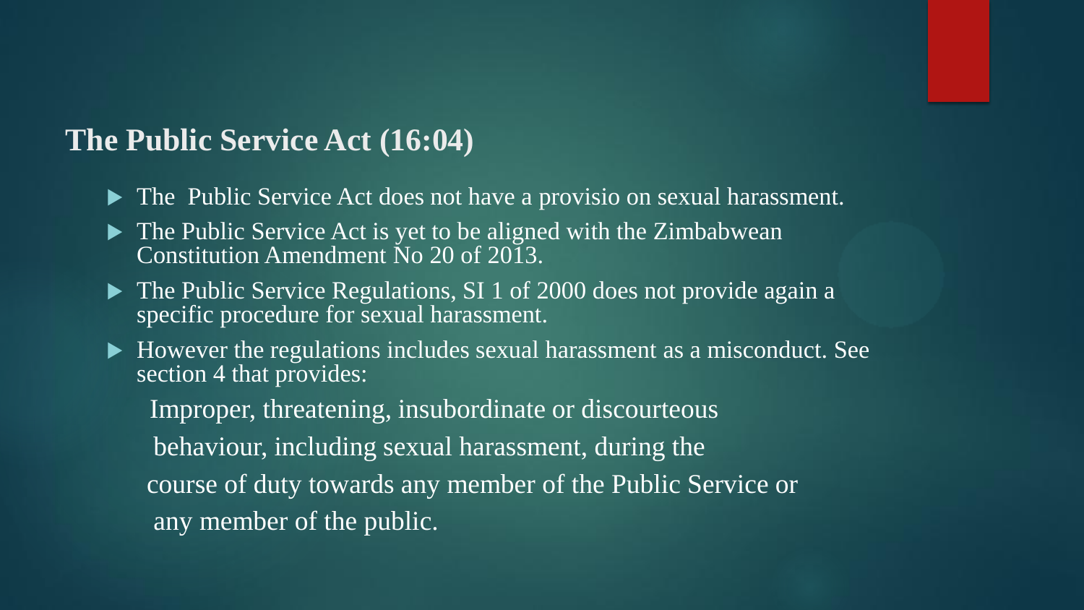## **The Public Service Act (16:04)**

- ▶ The Public Service Act does not have a provisio on sexual harassment.
- The Public Service Act is yet to be aligned with the Zimbabwean Constitution Amendment No 20 of 2013.
- The Public Service Regulations, SI 1 of 2000 does not provide again a specific procedure for sexual harassment.
- $\blacktriangleright$  However the regulations includes sexual harassment as a misconduct. See section 4 that provides:

Improper, threatening, insubordinate or discourteous behaviour, including sexual harassment, during the course of duty towards any member of the Public Service or any member of the public.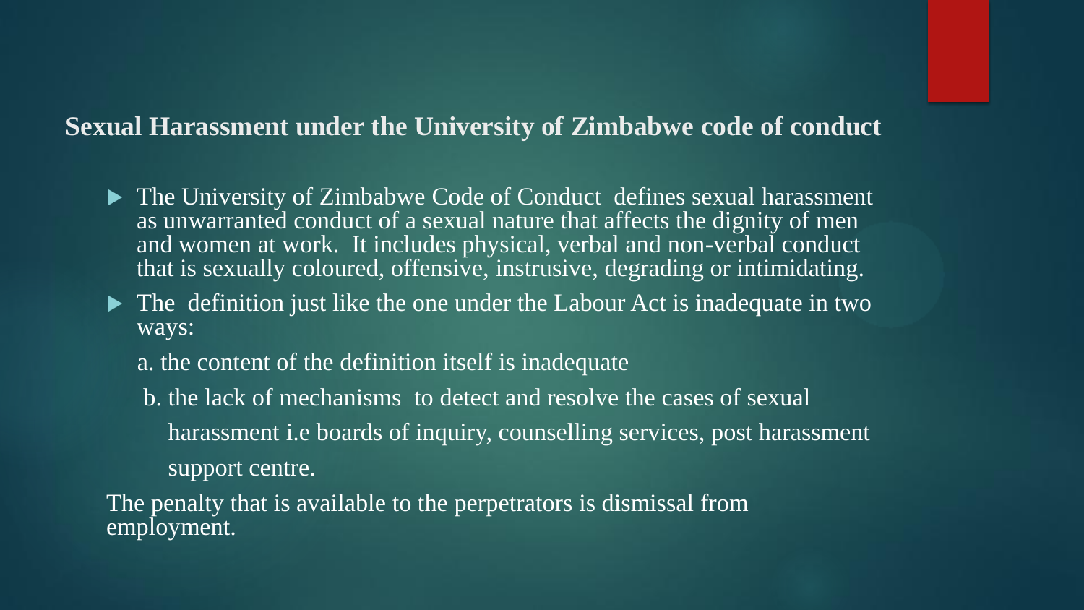#### **Sexual Harassment under the University of Zimbabwe code of conduct**

- ▶ The University of Zimbabwe Code of Conduct defines sexual harassment as unwarranted conduct of a sexual nature that affects the dignity of men and women at work. It includes physical, verbal and non-verbal conduct that is sexually coloured, offensive, instrusive, degrading or intimidating.
- The definition just like the one under the Labour Act is inadequate in two ways:
	- a. the content of the definition itself is inadequate
	- b. the lack of mechanisms to detect and resolve the cases of sexual harassment i.e boards of inquiry, counselling services, post harassment support centre.

The penalty that is available to the perpetrators is dismissal from employment.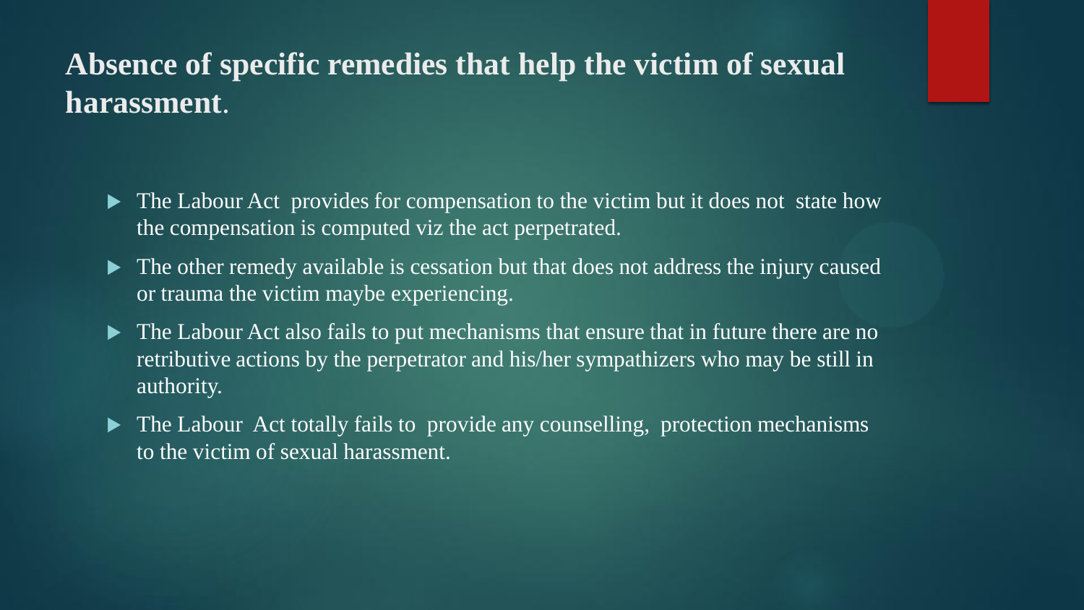## **Absence of specific remedies that help the victim of sexual harassment**.

- The Labour Act provides for compensation to the victim but it does not state how the compensation is computed viz the act perpetrated.
- The other remedy available is cessation but that does not address the injury caused or trauma the victim maybe experiencing.
- The Labour Act also fails to put mechanisms that ensure that in future there are no retributive actions by the perpetrator and his/her sympathizers who may be still in authority.
- The Labour Act totally fails to provide any counselling, protection mechanisms to the victim of sexual harassment.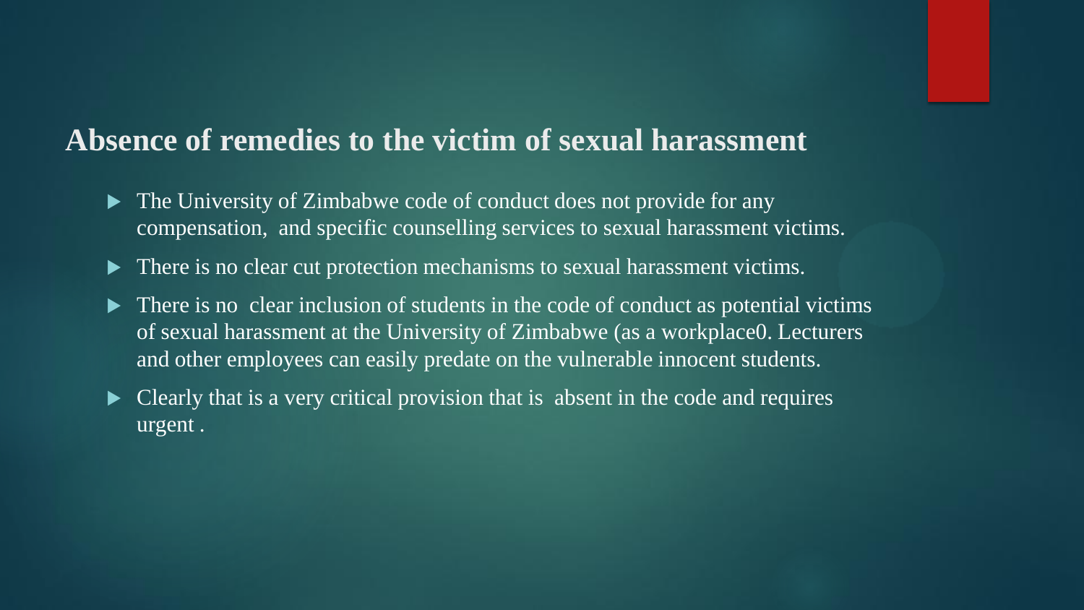## **Absence of remedies to the victim of sexual harassment**

- The University of Zimbabwe code of conduct does not provide for any compensation, and specific counselling services to sexual harassment victims.
- $\blacktriangleright$  There is no clear cut protection mechanisms to sexual harassment victims.
- $\triangleright$  There is no clear inclusion of students in the code of conduct as potential victims of sexual harassment at the University of Zimbabwe (as a workplace0. Lecturers and other employees can easily predate on the vulnerable innocent students.
- Clearly that is a very critical provision that is absent in the code and requires urgent .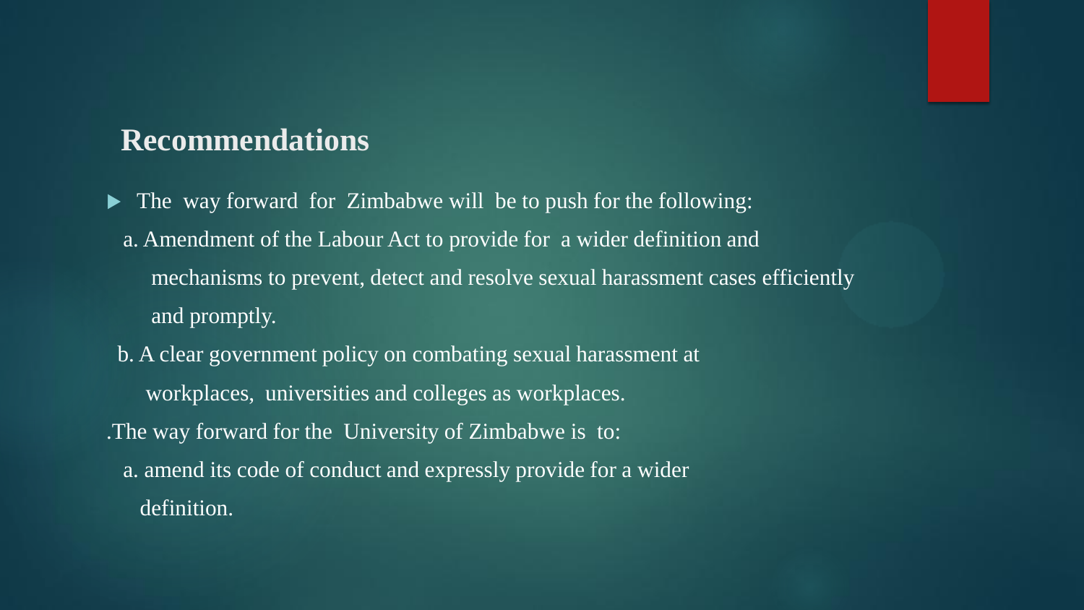#### **Recommendations**

• The way forward for Zimbabwe will be to push for the following: a. Amendment of the Labour Act to provide for a wider definition and mechanisms to prevent, detect and resolve sexual harassment cases efficiently and promptly.

b. A clear government policy on combating sexual harassment at workplaces, universities and colleges as workplaces. .The way forward for the University of Zimbabwe is to: a. amend its code of conduct and expressly provide for a wider definition.